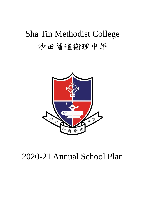# Sha Tin Methodist College 沙田循道衞理中學



# 2020-21 Annual School Plan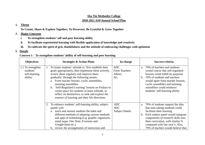#### **Sha Tin Methodist College**

#### **2020-2021 ASP Annual School Plan**

#### **1. Theme**

**To Create, Share & Explore Together; To Persevere, Be Grateful & Grow Together**

#### **2.Major Concerns**

- **i.To strengthen students' self and peer learning ability**
- **ii.To facilitate experiential learning with flexible application of knowledge and creativity**
- **iii.To cultivate the spirit of grit, thankfulness and the attitude of embracing challenges with optimism**

### **3. Details**

### **Concern 1**:**To strengthen students' ability of self-learning and peer learning**

| <b>Objectives</b>                                          | <b>Strategies &amp; Action Plans</b>                                                                                                                                                                                                                                                                                                                                                                                                                                                   | In-charge                                           | Success criteria                                                                                                                                                                                                                                                                                               |
|------------------------------------------------------------|----------------------------------------------------------------------------------------------------------------------------------------------------------------------------------------------------------------------------------------------------------------------------------------------------------------------------------------------------------------------------------------------------------------------------------------------------------------------------------------|-----------------------------------------------------|----------------------------------------------------------------------------------------------------------------------------------------------------------------------------------------------------------------------------------------------------------------------------------------------------------------|
| 1.1 To strengthen<br>students'<br>self-learning<br>ability | To foster students' attitude to 'first establish their<br>goals appropriately, then implement them actively,<br>review them regularly and improve them<br>gradually' through the following means:<br>a. Form teacher lessons, cyclic assemblies,<br>morning assemblies<br>'Self-Regulated Learning' lessons on Fridays to<br>b.<br>create space for students to learn solitude, to<br>reflect on themselves, to seek and explore the<br>essence of learning and their life directions. | <b>ADC</b><br>Form Teachers<br><b>Affairs</b><br>AG | 70% of teachers and students<br>a <sub>1</sub><br>would concur that self-regulated<br>lessons could fulfill its purposes<br>70% of students and teachers<br>$h_{\cdot}$<br>would agree form teacher lessons,<br>cyclic assemblies and morning<br>assemblies could reinforce<br>students' self-learning ability |
|                                                            | 2. To enhance students' self-learning ability, subject<br>panels will:<br>a. teach and nurture students the habit and<br>different methods of adopting various methods<br>and apps of notetaking (e.g. graphic organizers,<br>mind maps, One Note, Evernote and<br>Google-keep etc.)<br>b. review the arrangements of instruction and                                                                                                                                                  | <b>ADC</b><br><b>SDC</b><br><b>Subject Panels</b>   | 70% of students support the idea<br>a.<br>that note-taking methods could<br>facilitate their learning<br>Each subject panel would integrate<br>b.<br>components of research skills into<br>their curriculum, with similar %<br>compared with last year's. Also,<br>70% of teachers would believe that          |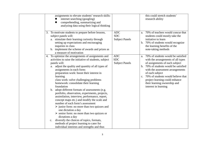| assignments to elevate students' research skills:<br>internet searching (googling)<br>comprehending, summarizing and<br>analyzing data using their logical thinking                                                                                                                                                                                                                                                                                                                                                                                                                                                                                                                                                                                                                                                                                                                                                                                               |                                                   | this could stretch students'<br>research ability                                                                                                                                                                                                                                                                                                 |
|-------------------------------------------------------------------------------------------------------------------------------------------------------------------------------------------------------------------------------------------------------------------------------------------------------------------------------------------------------------------------------------------------------------------------------------------------------------------------------------------------------------------------------------------------------------------------------------------------------------------------------------------------------------------------------------------------------------------------------------------------------------------------------------------------------------------------------------------------------------------------------------------------------------------------------------------------------------------|---------------------------------------------------|--------------------------------------------------------------------------------------------------------------------------------------------------------------------------------------------------------------------------------------------------------------------------------------------------------------------------------------------------|
| 3. To motivate students to prepare before lessons,<br>subject panels will:<br>a. stimulate their learning curiosity through<br>setting up expectations and encouraging<br>inquiries in class<br>b. implement the scheme of awards and prizes as<br>a measure of motivation                                                                                                                                                                                                                                                                                                                                                                                                                                                                                                                                                                                                                                                                                        | <b>ADC</b><br><b>SDC</b><br><b>Subject Panels</b> | a. 70% of teachers would concur that<br>students could mostly take the<br>initiative to learn<br>b. 70% of students would recognize<br>the learning benefits of the<br>note-taking methods                                                                                                                                                       |
| 4. To optimize the arrangements of assignments and<br>activities to raise the initiative of students, subject<br>panels will:<br>adjust the quality and quantity of all types of<br>a.<br>assignments in each form:<br>preparation work: boost their interest in<br>learning<br>class work: solve challenging problems<br>homework: consolidate their learning<br>foundation<br>adopt different formats of assessments (e.g.<br>$\mathbf{b}$ .<br>portfolio, observation, experiments, projects,<br>assimilation, interview, performance, report,<br>concept maps etc.) and modify the scale and<br>number of each form's assessment<br>$\triangleright$ junior form: no more than two quizzes and<br>one dictation a day<br>$\triangleright$ senior form: no more than two quizzes or<br>dictations a day<br>diversify the choices of topics, formats,<br>$c_{\cdot}$<br>methods of project learning to cater for<br>individual interests and strengths and thus | ADC<br><b>SDC</b><br><b>Subject Panels</b>        | a. 70% of students would be satisfied<br>with the arrangements of all types<br>of assignments of each subject<br>b. 70% of students would be satisfied<br>with the assessment arrangements<br>of each subject<br>c. 70% of students would believe that<br>project learning could enhance<br>their learning ownership and<br>interest in learning |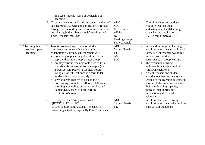|                                                 | increase students' sense of ownership of<br>learning.                                                                                                                                                                                                                                                                                                                                                                                                                                                                                                                                                                                                               |                                                                                                                           |                                                                                                                                                                                                                                                                                                                                                                                                                                                                                                                                                              |
|-------------------------------------------------|---------------------------------------------------------------------------------------------------------------------------------------------------------------------------------------------------------------------------------------------------------------------------------------------------------------------------------------------------------------------------------------------------------------------------------------------------------------------------------------------------------------------------------------------------------------------------------------------------------------------------------------------------------------------|---------------------------------------------------------------------------------------------------------------------------|--------------------------------------------------------------------------------------------------------------------------------------------------------------------------------------------------------------------------------------------------------------------------------------------------------------------------------------------------------------------------------------------------------------------------------------------------------------------------------------------------------------------------------------------------------------|
|                                                 | 5. To enrich teachers' and students' understanding of<br>self-learning strategies and application of BYOD<br>through corresponding staff development activities<br>and sharing in the subject panels' meetings and<br>Form Teachers' meetings                                                                                                                                                                                                                                                                                                                                                                                                                       | <b>ADC</b><br><b>SDC</b><br>Form teachers<br><b>Affairs</b><br><b>DC</b><br><b>Reading Group</b><br><b>Subject Panels</b> | 70% of teachers and students<br>a.<br>would reflect that their<br>understanding of self-learning<br>strategies and application of<br><b>BYOD</b> could improve                                                                                                                                                                                                                                                                                                                                                                                               |
| 1.2 To strengthen<br>students' peer<br>learning | To optimize teaching to develop students'<br>confidence and sense of satisfaction in<br>collaborative learning, subject panels will:<br>a. conduct group learning at least once in each<br>topic, either intra-group or inter-group<br>b. employ various teaching tools such as little<br>blackboards, e-learning software/apps (e.g.<br>PowerLesson, Padlets, Moodles, Forum,<br>Google Doc) at least once in a term to let<br>students learn collaboratively<br>c. give students chances to display their<br>co-learning products in different platforms:<br>morning assemblies, cyclic assemblies and<br>subject/KLA based project learning<br>exhibitions/shows | <b>ADC</b><br><b>Subject Panels</b><br>I.T<br>AG<br><b>SDC</b>                                                            | Inter- and intra-group learning<br>a.<br>activities would be similar in each<br>form. 70% of teachers would feel<br>satisfied with students'<br>performance in group learning<br>The frequency of using<br>$\mathbf{b}$ .<br>multi-teaching tools would be<br>similar in each form<br>70% of teachers and students<br>$\mathbf{c}$ .<br>would agree that the display and<br>sharing of the learning outcome in<br>various platforms would enhance<br>their peer learning capacity,<br>increase their confidence,<br>satisfaction and sense of<br>achievement |
|                                                 | To carry out the 'Bring your own devices'<br>2.<br>(BYOD) in F.1 and F.2<br>a. each subject panel gradually engages in<br>e-learning activities, especially Form 1 students                                                                                                                                                                                                                                                                                                                                                                                                                                                                                         | <b>ADC</b><br><b>Subject Panels</b><br>I.T.                                                                               | a. In F.1 and F.2, iPad learning<br>activities would be conducted in at<br>least 50% of the lessons                                                                                                                                                                                                                                                                                                                                                                                                                                                          |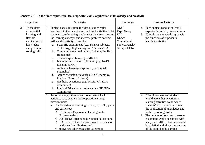|     | <b>Objectives</b>                                                                                                           | <b>Strategies</b>                                                                                                                                                                                                                                                                                                                                                                                                                                                                                                                                                                                                                                                                                                                                                                                                                             | In-charge                                                                                          | <b>Success Criteria</b>                                                                                                                                                                                                                                                                                                                                                                       |
|-----|-----------------------------------------------------------------------------------------------------------------------------|-----------------------------------------------------------------------------------------------------------------------------------------------------------------------------------------------------------------------------------------------------------------------------------------------------------------------------------------------------------------------------------------------------------------------------------------------------------------------------------------------------------------------------------------------------------------------------------------------------------------------------------------------------------------------------------------------------------------------------------------------------------------------------------------------------------------------------------------------|----------------------------------------------------------------------------------------------------|-----------------------------------------------------------------------------------------------------------------------------------------------------------------------------------------------------------------------------------------------------------------------------------------------------------------------------------------------------------------------------------------------|
| 2.1 | To facilitate<br>experiential<br>learning with<br>flexible<br>application of<br>knowledge<br>and problem-<br>solving skills | Subject panels integrate the idea of experiential<br>learning into their curriculum and hold activities to let<br>students learn by doing, apply what they learn, deepen<br>the learning concepts and increase problem-solving<br>skills and creativity. Examples:<br>Scientific experiments (e.g. Science subjects,<br>a.<br>Technology, Engineering and Mathematics)<br>b. Community exploration (e.g. Chinese, English,<br>Humanities)<br>c. Service exploration (e.g. RME, LS)<br>d. Business and careers exploration (e.g. BAFS,<br>Economics, CC)<br>e. Authentic language exposure (e.g. English,<br>Putonghua)<br>Nature excursion, field trips (e.g. Geography,<br>f.<br>Physics, Biology, Science)<br>Aesthetic experience (e.g. Music, VA, ECA<br>g.<br>Committee)<br>h. Physical Education experience (e.g. PE, ECA<br>Committee) | <b>ADC</b><br>ExpL Group<br><b>ECA</b><br>KLAs/<br>Committees/<br>Subject Panels/<br>Groups/ Clubs | Each subject conduct at least 1<br>a.<br>experiential activity in each Form<br>b. 70% of students would agree with<br>the functions of experiential<br>learning activities                                                                                                                                                                                                                    |
|     |                                                                                                                             | 2. To formulate, synthesize and coordinate all school<br>activities to strengthen the cooperation among<br>different units<br>a. The Experiential Learning Group (ExpL Gp) plans<br>and carries out<br>$\div$ F.1 Service Experiential learning in the<br>Post-exam days<br>$\div$ F.2 Fridays' after-school experiential learning<br>$\div$ F.3 cross-border excursions overseas so as to<br>widen students' horizon and<br>$\diamond$ to oversee all overseas trips at school                                                                                                                                                                                                                                                                                                                                                               |                                                                                                    | a. 70% of teachers and students<br>would agree that experiential<br>learning activities could widen<br>students' horizons and facilitate<br>the application of knowledge and<br>problem-solving skills<br>b. The number of local and overseas<br>excursions would be similar with<br>last year's. 70% of teachers would<br>be satisfied with the arrangements<br>of the experiential learning |

**Concern 2**: **To facilitate experiential learning with flexible application of knowledge and creativity**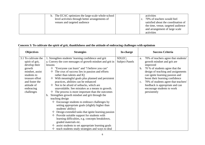| b. The ECAC optimizes the large-scale whole-school<br>level activities through better arrangements of<br>venues and targeted audience | activities<br>70% of teachers would feel<br>satisfied about the coordination of<br>the time, venue, targeted audience<br>and arrangement of large scale<br>activities |
|---------------------------------------------------------------------------------------------------------------------------------------|-----------------------------------------------------------------------------------------------------------------------------------------------------------------------|
|---------------------------------------------------------------------------------------------------------------------------------------|-----------------------------------------------------------------------------------------------------------------------------------------------------------------------|

#### **Concern 3: To cultivate the spirit of grit, thankfulness and the attitude of embracing challenges with optimism**

| <b>Objectives</b>                                                                                                                                                                   | <b>Strategies</b>                                                                                                                                                                                                                                                                                                                                                                                                                                                                                                                                                                                                                                                                                                                                                                                                                                                                                                                                                                                                                                                                        | In-charge                       | <b>Success Criteria</b>                                                                                                                                                                                                                                                                                                                                                               |
|-------------------------------------------------------------------------------------------------------------------------------------------------------------------------------------|------------------------------------------------------------------------------------------------------------------------------------------------------------------------------------------------------------------------------------------------------------------------------------------------------------------------------------------------------------------------------------------------------------------------------------------------------------------------------------------------------------------------------------------------------------------------------------------------------------------------------------------------------------------------------------------------------------------------------------------------------------------------------------------------------------------------------------------------------------------------------------------------------------------------------------------------------------------------------------------------------------------------------------------------------------------------------------------|---------------------------------|---------------------------------------------------------------------------------------------------------------------------------------------------------------------------------------------------------------------------------------------------------------------------------------------------------------------------------------------------------------------------------------|
| 3.1 To cultivate the<br>spirit of grit,<br>develop their<br>growth<br>mindset, assist<br>students to<br>treasure effort<br>and foster the<br>attitude of<br>embracing<br>challenges | 1. Strengthen students' learning confidence and grit<br>a. Convey the core messages of growth mindset and grit in<br>lessons<br>$\Diamond$ "Everyone can learn" and "I believe you can"<br>The crux of success lies in passion and efforts<br>rather than talents and IQ<br>$\Diamond$ With meaningful goals plus planned and persistent<br>practices, abilities can be enhanced<br>$\Diamond$ Not to be afraid of setbacks, which are<br>unavoidable. See mistakes as a means to growth.<br>The process is more important than the outcomes<br>Strengthen growth mindset and grit through the<br>b.<br>teaching design<br>$\Diamond$ Encourage students to embrace challenges by<br>setting appropriate goals (slightly higher than<br>students' ability)<br>$\Diamond$ Design extended tasks that ignite learning passion<br>$\Diamond$ Provide suitable support for students with<br>learning difficulties, e.g. concepts breakdown,<br>graded materials etc.<br>$\diamondsuit$ assist students to set appropriate learning goals<br>teach students study strategies and ways to deal | SDLEC;<br><b>Subject Panels</b> | 70% of teachers agree that students'<br>a.<br>growth mindset and grit are<br>improved<br>70 % of students agree that the<br>b.<br>design of teaching and assignments<br>can ignite learning passion and<br>boost their learning confidence<br>70% of students agree that teachers'<br>$\mathbf{c}$ .<br>feedback is appropriate and can<br>encourage students to work<br>persistently |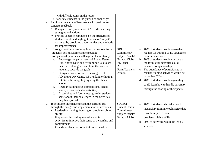| with difficult points in the topics<br>$\Diamond$ facilitate students in the pursuit of challenges<br>c. Reinforce the value of hard work with positive and<br>concrete feedback<br>$\Diamond$ Recognize and praise students' efforts, learning<br>strategies and actions<br>$\Diamond$ Provide concrete comments on the strengths of<br>students' work and highlight the areas "not yet"<br>mastered by providing opportunities and methods<br>for improvements                                                                                                                                                                                                                                                                                 |                                                                                                         |                                                                                                                                                                                                                                                                                                                                                                                                                            |
|--------------------------------------------------------------------------------------------------------------------------------------------------------------------------------------------------------------------------------------------------------------------------------------------------------------------------------------------------------------------------------------------------------------------------------------------------------------------------------------------------------------------------------------------------------------------------------------------------------------------------------------------------------------------------------------------------------------------------------------------------|---------------------------------------------------------------------------------------------------------|----------------------------------------------------------------------------------------------------------------------------------------------------------------------------------------------------------------------------------------------------------------------------------------------------------------------------------------------------------------------------------------------------------------------------|
| Through continuous training in activities to enforce<br>2.<br>students' self-discipline and encourage<br>companionship to face challenges collaboratively,<br>Encourage the participants of Round Estate<br>a.<br>Run, Sports Days and Swimming Gala to set<br>their individual goals and train themselves<br>regularly towards the goals<br>Design whole-form activities (e.g. $:$ F.1<br>$\mathbf{b}$ .<br>Adventure Day Camp, F.3 Trekking or hiking,<br>F.4 Growth Camp) highlighting the theme<br>above<br>Regular training (e.g. competitions, school<br>$\mathbf{c}$ .<br>teams, extra-curricular activities)<br>Assemblies and form meetings to let students<br>d.<br>share about their challenges in the activities<br>they have joined | SDLEC;<br>Committees/<br>Subject Panels/<br>Groups/ Clubs<br>PE Panel<br>AG<br>Form Teachers<br>Affairs | a. 70% of students would agree that<br>regular PE training could strengthen<br>their perseverance<br>b. 70% of students would concur that<br>the form level activities could<br>enhance companionship<br>c. The attendance of participants in<br>regular training activities would be<br>more than 70%<br>d. 70% of students would agree they<br>could learn how to handle adversity<br>through the sharing of their peers |
| 3. To reinforce independence and the spirit of grit<br>through the design and implementation of activities<br>a. Leadership training focusing on problem-solving<br>ability<br>Emphasize the leading role of students in<br>b.<br>activities to improve their sense of ownership and<br>commitment<br>c. Provide explanations of activities to develop                                                                                                                                                                                                                                                                                                                                                                                           | SDLEC;<br><b>Student Union:</b><br>Committees/<br>Subject Panels/<br>Groups/ Clubs                      | a. 70% of students who take part in<br>leadership training would agree that<br>it could improve their<br>problem-solving skills<br>b. 70% of activities would be led by<br>students                                                                                                                                                                                                                                        |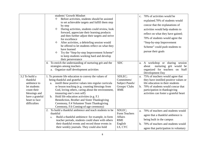|                 | students' Growth Mindset                                                                          |                 |    | c. 70% of activities would be          |
|-----------------|---------------------------------------------------------------------------------------------------|-----------------|----|----------------------------------------|
|                 | Before activities, students should be assisted<br>✧                                               |                 |    | explained.70% of students would        |
|                 | to set achievable targets and fulfill them step<br>by step                                        |                 |    | concur that the explanations of        |
|                 | During activities, students could review, look<br>✧                                               |                 |    | activities would help students to      |
|                 | forward, appreciate their learning products                                                       |                 |    | reflect on what they have gained;      |
|                 | and then further adjust their targets and strive                                                  |                 |    |                                        |
|                 | for excellence                                                                                    |                 |    | 70% of students would agree the        |
|                 | After activities, a debriefing session would<br>✧                                                 |                 |    | "Step-by-step Improvement              |
|                 | be offered to let students reflect on what they                                                   |                 |    | Scheme" could push students to         |
|                 | have learned<br>✧                                                                                 |                 |    | pursue their goals                     |
|                 | Try the "Step-by-step Improvement Scheme"<br>to keep students working hard and develop            |                 |    |                                        |
|                 | their perseverance                                                                                |                 |    |                                        |
|                 | 4. To enrich the understanding of nurturing grit and the                                          | <b>SDC</b>      |    | a. A workshop or sharing session       |
|                 | strategies among teachers                                                                         |                 |    | nurturing grit would be<br>about       |
|                 | a. Organize staff development activities                                                          |                 |    | organized for teachers on Staff        |
|                 |                                                                                                   |                 |    | Development Day                        |
| 3.2 To build a  | 1. To promote life education to convey the values of                                              | SDLEC;          | a. | 75% of teachers would agree that       |
| thankful        | being thankful and grateful                                                                       | Committees/     |    | they have instilled positive values or |
| ambience to     | a. instill these positive values into regular curricular                                          | Subject Panels/ |    | life education in their students       |
| let students    | or lesson teaching (e.g. counting blessings from                                                  | Groups/ Clubs   |    | b. 70% of students would concur that   |
| count their     | God, loving others, caring about the environment,                                                 | <b>RME</b>      |    | participation in thanksgiving          |
| blessings and   | treasuring one's own self)                                                                        |                 |    | activities can foster a grateful heart |
| have a grateful | Hold life education activities (e.g. F.1)<br>$\mathbf{b}$ .                                       |                 |    |                                        |
| heart to face   | Benediction, Brother and Sister Thanksgiving                                                      |                 |    |                                        |
| difficulties    | Ceremony, F.4 Volunteer Team Thanksgiving                                                         |                 |    |                                        |
|                 | Ceremony, F.6 Coming-of-age ceremony)<br>2. To build a thankful ambience and teach students to be | SDLEC;          |    |                                        |
|                 | thankful                                                                                          | Form Teachers   | a. | 70% of teachers and students would     |
|                 | Build a thankful ambience: for example, in form<br>a.                                             | Affairs         |    | agree that a thankful ambience is      |
|                 | teacher periods, students could share with others                                                 | <b>RME</b>      |    | being built in the campus              |
|                 | their thankful events and record those events in                                                  | English         | b. | 70% of teachers and students would     |
|                 | their weekly journals. They could also hold                                                       | LS, CYC         |    | agree that participation in voluntary  |
|                 |                                                                                                   |                 |    |                                        |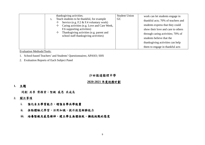|  | thanksgiving activities.<br>Teach students to be thankful, for example<br>b.<br>Service (e.g. F.2 & F.4 voluntary work)<br>Caring activities (e.g. Love and Care Week,<br>F.6 supporting activities)<br>Thanksgiving activities (e.g. parent and<br>school staff thanks giving activities) | <b>Student Union</b><br><b>GC</b> | work can let students engage in<br>thankful acts; 70% of teachers and<br>students express that they could<br>show their love and care to others<br>through caring activities; 70% of<br>students believe that the<br>thanksgiving activities can help<br>them to engage in thankful acts |
|--|--------------------------------------------------------------------------------------------------------------------------------------------------------------------------------------------------------------------------------------------------------------------------------------------|-----------------------------------|------------------------------------------------------------------------------------------------------------------------------------------------------------------------------------------------------------------------------------------------------------------------------------------|
|--|--------------------------------------------------------------------------------------------------------------------------------------------------------------------------------------------------------------------------------------------------------------------------------------------|-----------------------------------|------------------------------------------------------------------------------------------------------------------------------------------------------------------------------------------------------------------------------------------------------------------------------------------|

Evaluation Methods/Tools:

- 1. School-based Teachers' and Students' Questionnaires; APASO; SHS
- 2. Evaluation Reports of Each Subject Panel

#### 沙田循道衞理中學

## **2020-2021** 年度校務計劃

#### **1.** 主題

同創 共享 齊探索;堅毅 感恩 共成長

#### **2.**關注事項

- . 強化自主學習能力,增強自學共學能量<br> **i.**
- . 推動體驗式學習,活用知識,提升創意解難能力<br> **ii.**
- . 培養堅毅及感恩精神,建立學生無懼挫敗,擁抱挑戰的態度 **iii.**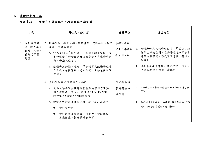#### **3.** 具體計劃及內容

## 關注事項一:強化自主學習能力,增強自學共學能量

| 目標                                           | 策略及行動計劃                                                                                                                                                                                                 | 負責單位                     | 成功指標                                                                                                             |
|----------------------------------------------|---------------------------------------------------------------------------------------------------------------------------------------------------------------------------------------------------------|--------------------------|------------------------------------------------------------------------------------------------------------------|
| 1.1 強化自學能<br>力,建立學生<br>自覺、主動、<br>積極的學習<br>態度 | 2. 培養學生「確立目標、積極實踐、定時檢討、適時<br>改進   的學習態度<br>a. 設立星期五「學思課」,為學生締造空間,在<br>安靜環境中學會自處及自我審視,尋找學習意<br>義,發掘人生方向。<br>b. 透過班主任課、週會、早會教導及鼓勵學生確<br>立目標、積極實踐、建立自覺、主動積極的學<br>習態度                                       | 學術發展組<br>班主任事務組<br>早會週會組 | a. 70%老師及70%學生認同「學思課」能<br>為學生締造空間,在安靜環境中學會自<br>處及自我審視,尋找學習意義,發掘人<br>生方向<br>b. 70%學生及老師認同班主任課、週會、<br>早會有助學生強化自學能力 |
|                                              | 6. 強化學生自主學習能力,各科<br>a. 教導及培養學生摘錄課堂重點的不同方法(如<br>圖表組織法,腦圖),應用程式(如OneNote,<br>Evernote, Google Keep)和習慣<br>b. 檢視各級教學及課業安排,提升及展現學生<br>$\bullet$<br>資料搜索力<br>資料理解及整理力,預測力、辨識觀點、<br>$\bullet$<br>因果關係、推理邏輯能力等 | 學術發展組<br>教師發展組<br>各學科    | a. 70%學生認同摘錄課堂重點的方法及習慣有助<br>學習<br>b. 各科提升資料搜索力的課業,與去年相約;70%<br>老師認同學生有關能力得到提升                                    |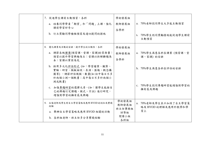| 7. 促進學生課前主動預習,各科<br>a. 培養同學帶着「期望」和「問題」上課,強化<br>課前學習好奇心<br>b. 訂立獎勵同學積極預習及適切提問的措施                                                                                                 | 學術發展組<br>教師發展組<br>各學科                          | a. 70%老師認同學生大多能主動預習<br>b. 70%學生認同獎勵措施能促進學生課前<br>主動預習  |
|---------------------------------------------------------------------------------------------------------------------------------------------------------------------------------|------------------------------------------------|-------------------------------------------------------|
| 8. 優化課業及活動的安排,提升學生的主動性,各科<br>a. 調節各級課業(預習課、堂課、家課)的質與量:<br>預習以提升學習興趣為主;堂課以拆解難題為<br>本;家課以鞏固為先                                                                                     | 學術發展組<br>教師發展組<br>各學科                          | a. 70%學生滿意各科在課業 (預習課、堂<br>課、家課)的安排                    |
| b. 採用多元化評估形式 (如:學習檔案、觀察、<br>實驗、研習、模擬面談、表演、匯報、概念構<br>圖等),調節評估規模、數量(如:初中每日不多<br>於兩個小測一個默書;高中每日不多於兩個小<br>測或默書)<br>c. 加強專題研習的選擇元素,(如:讓學生能按自<br>己的興趣訂定課題、模式、方法)進行研究,<br>增強對學習的擁有感及興趣 |                                                | b. 70%學生滿意各科在評估的安排<br>c. 70%學生認同專題研習能增強對學習的<br>擁有感及興趣 |
| 9. 加強老師及學生對自主學習策略及應用BYOD的認知及實踐<br>經驗<br>a. 舉辦自主學習策略及應用 BYOD 相關的活動<br>b. 各科組老師、班主任多分享實踐經驗                                                                                        | 學術發展組<br>教師發展組<br>班主任事務組<br>訓導組<br>閱讀小組<br>各科組 | 70%老師及學生表示加深了自主學習策<br>a.<br>略及 BYOD 的理解及應用於教學和學<br>習上 |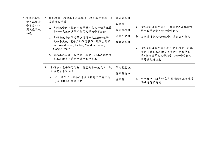| 1.2 增強共學能<br>量,以提升<br>學習信心,<br>滿足感及成<br>功感 | 2. 優化教學,增強學生共學能量,提升學習信心、滿<br>足感及成功感<br>a. 各科課堂內, 推動小組學習, 在每一個單元最<br>少作一次組內共學或組間共學的學習活動;<br>b. 各科每級每個單元最少運用一次互動的教學工<br>具如小黑板、電子互動學習軟件,讓學生共學,<br>†v: PowerLesson, Padlets, Moodles, Forum,<br>Google Doc. 等<br>c. 透過不同途徑,如早會、週會、科本專題研習<br><b>成果展示等,讓學生展示共學成果</b> | 學術發展組<br>各學科<br>資訊科技組<br>週會早會組<br>教師發展組 | a. 70%老師及學生認同小組學習表現能增強<br>學生共學能量,提升學習信心<br>b. 各級運用多元化的教學工具與去年相約<br>70%老師及學生認同在早會或週會、科本<br>$c_{\cdot}$<br>專題研習成果展示日等展示同學共學成<br>果,能增強學生共學能量,提升學習信心、<br>滿足感及成功感 |
|--------------------------------------------|----------------------------------------------------------------------------------------------------------------------------------------------------------------------------------------------------------------------------------------------------------------|-----------------------------------------|--------------------------------------------------------------------------------------------------------------------------------------------------------------|
|                                            | 3.<br>各科推行電子學習活動,特別是中一級及中二級<br>加強電子學習元素<br>a. 中一級及中二級推行學生自攜電子學習工具<br>(BYOD)進行學習活動                                                                                                                                                                              | 學術發展組,<br>資訊科技組<br>各學科                  | 中一及中二級各科在其 50%課堂上有運用<br>a.<br>iPad 進行學與教                                                                                                                     |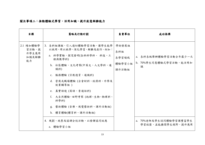## 關注事項二:推動體驗式學習,活用知識,提升創意解難能力

| 目標                                         | 策略及行動計劃                                                                                                                                                                                                                                                                                                                                      | 負責單位                                     | 成功指標                                                                                                 |
|--------------------------------------------|----------------------------------------------------------------------------------------------------------------------------------------------------------------------------------------------------------------------------------------------------------------------------------------------------------------------------------------------|------------------------------------------|------------------------------------------------------------------------------------------------------|
| 2.1 增加體驗學<br>習活動,提<br>升學生應用<br>知識及解難<br>能力 | 3. 各科組課程,引入適切體驗學習活動,讓學生能學<br>以致用、用以致學,深化學習,解難及創作。例如:<br>a. 科學實驗,探究發明(各科科學科、 科技、工<br>程與數學科)<br>b. 社區體驗、文化考察(中英文、人文學科、通<br>識科)<br>c. 服務體驗 (宗教德育、通識科)<br>d. 營商或職場體驗 (企會財科、經濟科、升學及<br>就業輔導組)<br>e. 真實語境 (英語、普通話科)<br>f. 大自然體驗、田野考察 (地理、生物、物理科、<br>科學科)<br>g. 藝術體驗 (音樂、視覺藝術科、課外活動組)<br>h. 體育體驗(體育科、課外活動組)<br>4. 規劃、統整及協調全校活動,以發揮協同效應<br>a. 體驗學習小組 | 學術發展組<br>各科組<br>各學習領域<br>體驗學習小組<br>課外活動組 | a. 各科各級舉辦體驗學習活動全年最少一次<br>b. 70%學生同意體驗式學習活動,能活用知<br>識<br>a. 70%老師及學生認同體驗學習課豐富學生<br>學習經歷,並能擴闊學生視野,提升應用 |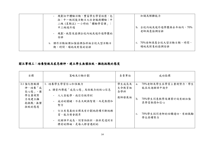| 規劃初中體驗活動,豐富學生學習經歷,包<br>括:中一級試後活動日之社會服務體驗;中<br>二級 (星期五) 一小時的「體驗學習課」; | 知識及解難能力                               |
|---------------------------------------------------------------------|---------------------------------------|
| 中三級境外遊                                                              | 全校內地及境外遊學團與去年相約,70%<br>b.<br>老師滿意協調安排 |
| 規劃、統整及協調全校內地及境外遊學團的<br>安排                                           |                                       |
| 課外活動組課加強協調各科組全校大型活動日<br>b.<br>期、時間,場地及對象的安排                         | 70%老師滿意全校大型活動日期、時間,<br>場地及對象的協調安排     |

|                                       | - 規劃初中體驗活動,豐富學生學習經歷,包<br>括:中一級試後活動日之社會服務體驗;中<br>二級 (星期五) 一小時的「體驗學習課」; |              | 知識及解難能力                                                                 |
|---------------------------------------|-----------------------------------------------------------------------|--------------|-------------------------------------------------------------------------|
|                                       | 中三級境外遊                                                                |              | b. 全校內地及境外遊學團與去年相約,70%                                                  |
|                                       | - 規劃、統整及協調全校內地及境外遊學團的<br>安排                                           |              | 老師滿意協調安排                                                                |
|                                       | b. 課外活動組課加強協調各科組全校大型活動日<br>期、時間,場地及對象的安排                              |              | c. 70%老師滿意全校大型活動日期、時間,<br>場地及對象的協調安排                                    |
|                                       | 關注事項三:培養堅毅及感恩精神,建立學生無懼挫敗,擁抱挑戰的態度                                      |              |                                                                         |
|                                       |                                                                       |              |                                                                         |
| 目標                                    | 策略及行動計劃                                                               | 負責單位         | 成功指標                                                                    |
|                                       | 1. 培養學生學習信心和恆毅力                                                       | 學生成長及        | a.                                                                      |
| 神,培養「成<br>長心態」,讓                      | a. 課堂內傳遞「成長心態」及恆毅力的核心信息                                               | 生命教育組<br>各學科 | 能在改進錯誤中進步                                                               |
| 學生重視努                                 | - 人人皆能學,我信你做得到                                                        | 教師發展組        |                                                                         |
| 3.1 強化堅毅精<br>力及建立擁<br>抱挑戰、無懼<br>挫敗的態度 | - 成功的關鍵,不在天賦與智商,而是熱情和<br>努力                                           |              | 70%老師及學生在學習上重視努力,學生<br>$\mathbf{b}$ .<br>70%學生同意教學及課業計設有助加強<br>其學習熱情和信心 |
|                                       | 訂立有意義的目標及有計劃地持續不斷地練<br>習,能力便會提昇                                       |              | 70%學生認同老師的回饋適切,有助鼓勵<br>$\mathbf{c}$ .<br>學生持續努力                         |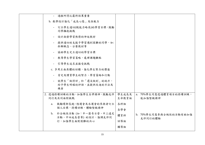| - 訂立學生適切(較能力略高)的學習目標,鼓勵                                                                        |       |                                   |
|------------------------------------------------------------------------------------------------|-------|-----------------------------------|
| 同學擁抱挑戰                                                                                         |       |                                   |
| - 設計激發學習熱情的伸延教材                                                                                |       |                                   |
| 提供適切的支援予學習遇到困難的同學,如:<br>拆解概念、分層教材等                                                             |       |                                   |
| 協助學生定立適切的學習目標<br>$\overline{\phantom{a}}$                                                      |       |                                   |
| - 教導學生學習策略,處理課題難點                                                                              |       |                                   |
| - 引導學生追求並接受挑戰                                                                                  |       |                                   |
| c. 多用正面具體的回饋,強化學生努力的價值                                                                         |       |                                   |
| - 肯定及讚賞學生的努力、學習策略和行動                                                                           |       |                                   |
| - 就學生「做得好」和「還沒做到」的地方,<br>給予學生明確的評語,並提供改進的方法及                                                   |       |                                   |
| 機會                                                                                             |       |                                   |
| 2. 透過持續訓練的活動,加強學生自律精神,鼓勵友伴                                                                     | 學生成長及 | a. 70%學生同意透過體育項目的持續訓練,            |
| 同行及共同面對挑戰                                                                                      | 生命教育組 | 能加強堅毅精神                           |
| a. 鼓勵環邨長跑、陸運會及水運會的參與者訂立<br>個人目標,持續訓練,體驗堅毅精神<br>b. 於全級性活動 (如:中一歷奇日營、中三遠足<br>活動、中四成長營等)的設計,強調友伴同 | 各科組   | b. 70%學生同意參與全級性的活動有助加強<br>友伴同行的體驗 |
|                                                                                                | 各學會   |                                   |
|                                                                                                | 體育科   |                                   |
| 行,加強學生面對困難的決心                                                                                  | 訓導組   |                                   |
|                                                                                                | 輔導組   |                                   |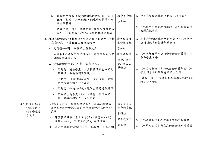|                                    | c. 鼓勵學生恆常出席持續訓練的活動(如:各項<br>比賽、校隊、課外活動),鍛練學生持續不懈<br>的自律精神<br>d. 透過早會、週會、班聚會等,讓學生分享於活<br>動中,面對挑戰、挫敗及克服困難等的經驗 | 週會早會組<br>班主任          | c. 學生在持續訓練的活動有70%出席率<br>d. 70%學生同意能從同學的分享中學習如何<br>面對成敗得失 |
|------------------------------------|------------------------------------------------------------------------------------------------------------|-----------------------|----------------------------------------------------------|
|                                    | 3. 科組在活動設計及推行上,肯定過程中的努力,培養<br>「成長心態」,強化自主及堅毅精神<br>a. 透過領袖訓練,加強學生解難能力                                       | 學生成長及<br>生命教育組<br>各科組 | a. 從參與領袖訓練學生的問卷中,70%學生<br>認同訓練有助提升解難能力                   |
|                                    | b. 加強學生於活動中的主導角色,提升學生對活動<br>的擁有感及投入感                                                                       | 課外活動組<br>學會,學生        | b. 70%老師及學生認同學校活動的籌備工作<br>多由學生主導                         |
|                                    | c. 提供活動的解說,培養「成長心態」<br>- 活動前,協助學生訂立具挑戰性且能力可及<br>的目標,並循序漸進實踐                                                | 會,班主任<br>事務組          | c. 70%的活動老師有提供活動前後解說70%<br>學生同意活動解說有助學生反思                |
|                                    | - 活動中,作出回顧及展望,肯定成果,並讓<br>學生修訂目標,努力改進                                                                       |                       | 過程所得;70%學生有為參與活動訂立目<br>標及努力實踐                            |
|                                    | 活動後,作總結解說,讓學生反思過程所得<br>- 鼓勵學生為參與活動訂立目標,並努力實<br>踐,體驗持續努力、克服困難                                               |                       |                                                          |
| 3.2 營造感恩的<br>校園氛圍,<br>培養學生愛<br>己愛人 | 推動生命教育,讓學生建立知恩、感恩的價值觀,<br>1.<br>讓學生發現和珍視內在的生命價值和外在的生命<br>資源                                                | 學生成長及<br>生命教育組<br>各科組 |                                                          |
|                                    | a. 課堂教學融滲「數算主恩(天)、關愛他人(人)、<br>愛護大地(物)、珍愛自己(我)」等價值觀<br>b. 透過生命教育活動(如:中一祝福禮、兄姊感謝                             | 宗教德育科<br>輔導組          | a. 75%老師表示有在教學中強化生命教育<br>b. 70%學生認同參與感恩的活動能培養感恩          |